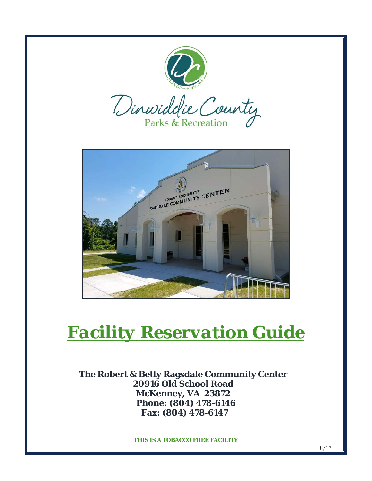

**Fax: (804) 478-6147**

**THIS IS A TOBACCO FREE FACILITY**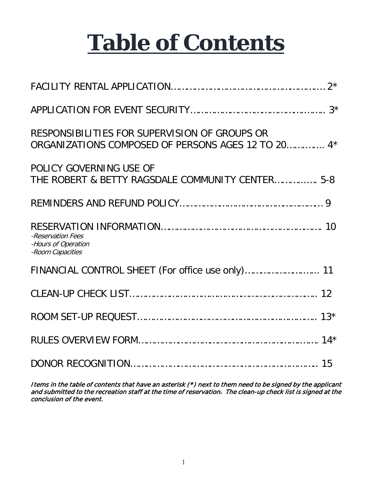# **Table of Contents**

| RESPONSIBILITIES FOR SUPERVISION OF GROUPS OR<br>ORGANIZATIONS COMPOSED OF PERSONS AGES 12 TO 20 4* |
|-----------------------------------------------------------------------------------------------------|
| POLICY GOVERNING USE OF<br>THE ROBERT & BETTY RAGSDALE COMMUNITY CENTER 5-8                         |
|                                                                                                     |
| -Reservation Fees<br>-Hours of Operation<br>-Room Capacities                                        |
| FINANCIAL CONTROL SHEET (For office use only) 11                                                    |
|                                                                                                     |
|                                                                                                     |
|                                                                                                     |
|                                                                                                     |

Items in the table of contents that have an asterisk (\*) next to them need to be signed by the applicant and submitted to the recreation staff at the time of reservation**.** The clean-up check list is signed at the conclusion of the event.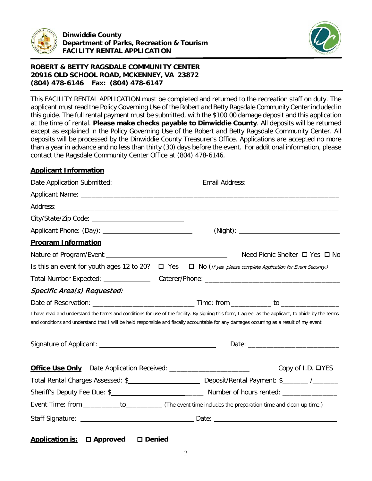



This FACILITY RENTAL APPLICATION must be completed and returned to the recreation staff on duty. The applicant must read the Policy Governing Use of the Robert and Betty Ragsdale Community Center included in this guide. The full rental payment must be submitted, with the \$100.00 damage deposit and this application at the time of rental. **Please make checks payable to Dinwiddie County**. All deposits will be returned except as explained in the Policy Governing Use of the Robert and Betty Ragsdale Community Center. All deposits will be processed by the Dinwiddie County Treasurer's Office. Applications are accepted no more than a year in advance and no less than thirty (30) days before the event. For additional information, please contact the Ragsdale Community Center Office at (804) 478-6146.

# **Applicant Information**

| <b>Program Information</b>                                                                                                                                                                                                                                                                       |  |                                |
|--------------------------------------------------------------------------------------------------------------------------------------------------------------------------------------------------------------------------------------------------------------------------------------------------|--|--------------------------------|
|                                                                                                                                                                                                                                                                                                  |  | Need Picnic Shelter □ Yes □ No |
| Is this an event for youth ages 12 to 20? $\Box$ Yes $\Box$ No (If yes, please complete Application for Event Security.)                                                                                                                                                                         |  |                                |
|                                                                                                                                                                                                                                                                                                  |  |                                |
|                                                                                                                                                                                                                                                                                                  |  |                                |
|                                                                                                                                                                                                                                                                                                  |  |                                |
| I have read and understand the terms and conditions for use of the facility. By signing this form, I agree, as the applicant, to abide by the terms<br>and conditions and understand that I will be held responsible and fiscally accountable for any damages occurring as a result of my event. |  |                                |
|                                                                                                                                                                                                                                                                                                  |  |                                |
| <b>Office Use Only</b> Date Application Received: _________________________                                                                                                                                                                                                                      |  | Copy of I.D. <b>□YES</b>       |
|                                                                                                                                                                                                                                                                                                  |  |                                |
|                                                                                                                                                                                                                                                                                                  |  |                                |
|                                                                                                                                                                                                                                                                                                  |  |                                |
|                                                                                                                                                                                                                                                                                                  |  |                                |

**Application is: Approved Denied**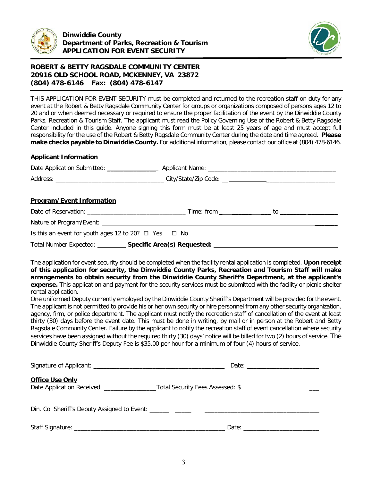



THIS APPLICATION FOR EVENT SECURITY must be completed and returned to the recreation staff on duty for any event at the Robert & Betty Ragsdale Community Center for groups or organizations composed of persons ages 12 to 20 and or when deemed necessary or required to ensure the proper facilitation of the event by the Dinwiddie County Parks, Recreation & Tourism Staff. The applicant must read the Policy Governing Use of the Robert & Betty Ragsdale Center included in this guide. Anyone signing this form must be at least 25 years of age and must accept full responsibility for the use of the Robert & Betty Ragsdale Community Center during the date and time agreed. **Please make checks payable to Dinwiddie County.** For additional information, please contact our office at (804) 478-6146.

## **Applicant Information**

| <b>Program/Event Information</b>                                                |  |  |  |  |
|---------------------------------------------------------------------------------|--|--|--|--|
|                                                                                 |  |  |  |  |
| Nature of Program/Event: Nature of Program/Event:                               |  |  |  |  |
| Is this an event for youth ages 12 to 20? $\Box$ Yes $\Box$ No                  |  |  |  |  |
| Total Number Expected: Specific Area(s) Requested: Specific Area (s) Requested: |  |  |  |  |

The application for event security should be completed when the facility rental application is completed. **Upon receipt of this application for security, the Dinwiddie County Parks, Recreation and Tourism Staff will make arrangements to obtain security from the Dinwiddie County Sheriff's Department, at the applicant's expense.** This application and payment for the security services must be submitted with the facility or picnic shelter rental application.

One uniformed Deputy currently employed by the Dinwiddie County Sheriff's Department will be provided for the event. The applicant is not permitted to provide his or her own security or hire personnel from any other security organization, agency, firm, or police department. The applicant must notify the recreation staff of cancellation of the event at least thirty (30) days before the event date. This must be done in writing, by mail or in person at the Robert and Betty Ragsdale Community Center. Failure by the applicant to notify the recreation staff of event cancellation where security services have been assigned without the required thirty (30) days' notice will be billed for two (2) hours of service. The Dinwiddie County Sheriff's Deputy Fee is \$35.00 per hour for a minimum of four (4) hours of service.

| <b>Office Use Only</b> | Date Application Received: Total Security Fees Assessed: \$                                                                                                                                                                    |
|------------------------|--------------------------------------------------------------------------------------------------------------------------------------------------------------------------------------------------------------------------------|
|                        | Din. Co. Sheriff's Deputy Assigned to Event: ___________________________________                                                                                                                                               |
|                        | Date: the contract of the contract of the contract of the contract of the contract of the contract of the contract of the contract of the contract of the contract of the contract of the contract of the contract of the cont |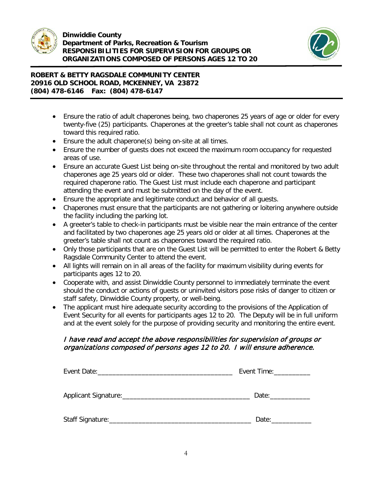

j



# **ROBERT & BETTY RAGSDALE COMMUNITY CENTER 20916 OLD SCHOOL ROAD, MCKENNEY, VA 23872 (804) 478-6146 Fax: (804) 478-6147**

- Ensure the ratio of adult chaperones being, two chaperones 25 years of age or older for every twenty-five (25) participants. Chaperones at the greeter's table shall not count as chaperones toward this required ratio.
- Ensure the adult chaperone(s) being on-site at all times.
- Ensure the number of guests does not exceed the maximum room occupancy for requested areas of use.
- Ensure an accurate Guest List being on-site throughout the rental and monitored by two adult chaperones age 25 years old or older. These two chaperones shall not count towards the required chaperone ratio. The Guest List must include each chaperone and participant attending the event and must be submitted on the day of the event.
- Ensure the appropriate and legitimate conduct and behavior of all guests.
- Chaperones must ensure that the participants are not gathering or loitering anywhere outside the facility including the parking lot.
- A greeter's table to check-in participants must be visible near the main entrance of the center and facilitated by two chaperones age 25 years old or older at all times. Chaperones at the greeter's table shall not count as chaperones toward the required ratio.
- Only those participants that are on the Guest List will be permitted to enter the Robert & Betty Ragsdale Community Center to attend the event.
- All lights will remain on in all areas of the facility for maximum visibility during events for participants ages 12 to 20.
- Cooperate with, and assist Dinwiddie County personnel to immediately terminate the event should the conduct or actions of guests or uninvited visitors pose risks of danger to citizen or staff safety, Dinwiddie County property, or well-being.
- The applicant must hire adequate security according to the provisions of the Application of Event Security for all events for participants ages 12 to 20. The Deputy will be in full uniform and at the event solely for the purpose of providing security and monitoring the entire event.

# I have read and accept the above responsibilities for supervision of groups or organizations composed of persons ages 12 to 20. I will ensure adherence.

|                   | Event Time: ____________ |  |  |
|-------------------|--------------------------|--|--|
|                   | Date:                    |  |  |
| Staff Signature:_ | Date:                    |  |  |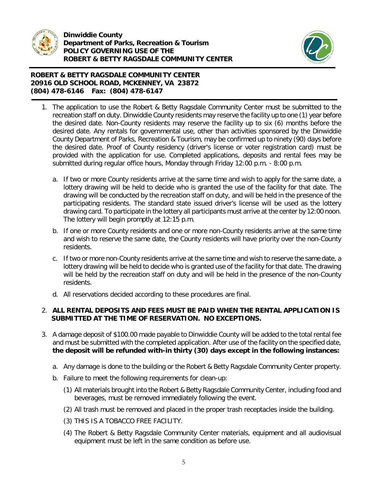

j



# **ROBERT & BETTY RAGSDALE COMMUNITY CENTER 20916 OLD SCHOOL ROAD, MCKENNEY, VA 23872 (804) 478-6146 Fax: (804) 478-6147**

- 1. The application to use the Robert & Betty Ragsdale Community Center must be submitted to the recreation staff on duty. Dinwiddie County residents may reserve the facility up to one (1) year before the desired date. Non-County residents may reserve the facility up to six (6) months before the desired date. Any rentals for governmental use, other than activities sponsored by the Dinwiddie County Department of Parks, Recreation & Tourism, may be confirmed up to ninety (90) days before the desired date. Proof of County residency (driver's license or voter registration card) must be provided with the application for use. Completed applications, deposits and rental fees may be submitted during regular office hours, Monday through Friday 12:00 p.m. - 8:00 p.m.
	- a. If two or more County residents arrive at the same time and wish to apply for the same date, a lottery drawing will be held to decide who is granted the use of the facility for that date. The drawing will be conducted by the recreation staff on duty, and will be held in the presence of the participating residents. The standard state issued driver's license will be used as the lottery drawing card. To participate in the lottery all participants must arrive at the center by 12:00 noon. The lottery will begin promptly at 12:15 p.m.
	- b. If one or more County residents and one or more non-County residents arrive at the same time and wish to reserve the same date, the County residents will have priority over the non-County residents.
	- c. If two or more non-County residents arrive at the same time and wish to reserve the same date, a lottery drawing will be held to decide who is granted use of the facility for that date. The drawing will be held by the recreation staff on duty and will be held in the presence of the non-County residents.
	- d. All reservations decided according to these procedures are final.

# 2. **ALL RENTAL DEPOSITS AND FEES MUST BE PAID WHEN THE RENTAL APPLICATION IS SUBMITTED AT THE TIME OF RESERVATION. NO EXCEPTIONS.**

- 3. A damage deposit of \$100.00 made payable to Dinwiddie County will be added to the total rental fee and must be submitted with the completed application. After use of the facility on the specified date, **the deposit will be refunded with-in thirty (30) days except in the following instances:**
	- a. Any damage is done to the building or the Robert & Betty Ragsdale Community Center property.
	- b. Failure to meet the following requirements for clean-up:
		- (1) All materials brought into the Robert & Betty Ragsdale Community Center, including food and beverages, must be removed immediately following the event.
		- (2) All trash must be removed and placed in the proper trash receptacles inside the building.
		- (3) THIS IS A TOBACCO FREE FACILITY.
		- (4) The Robert & Betty Ragsdale Community Center materials, equipment and all audiovisual equipment must be left in the same condition as before use.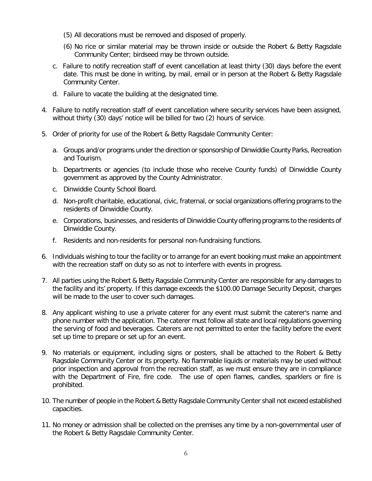- (5) All decorations must be removed and disposed of properly.
- (6) No rice or similar material may be thrown inside or outside the Robert & Betty Ragsdale Community Center; birdseed may be thrown outside.
- c. Failure to notify recreation staff of event cancellation at least thirty (30) days before the event date. This must be done in writing, by mail, email or in person at the Robert & Betty Ragsdale Community Center.
- d. Failure to vacate the building at the designated time.
- 4. Failure to notify recreation staff of event cancellation where security services have been assigned, without thirty (30) days' notice will be billed for two (2) hours of service.
- 5. Order of priority for use of the Robert & Betty Ragsdale Community Center:
	- a. Groups and/or programs under the direction or sponsorship of Dinwiddie County Parks, Recreation and Tourism.
	- b. Departments or agencies (to include those who receive County funds) of Dinwiddie County government as approved by the County Administrator.
	- c. Dinwiddie County School Board.
	- d. Non-profit charitable, educational, civic, fraternal, or social organizations offering programs to the residents of Dinwiddie County.
	- e. Corporations, businesses, and residents of Dinwiddie County offering programs to the residents of Dinwiddie County.
	- f. Residents and non-residents for personal non-fundraising functions.
- 6. Individuals wishing to tour the facility or to arrange for an event booking must make an appointment with the recreation staff on duty so as not to interfere with events in progress.
- 7. All parties using the Robert & Betty Ragsdale Community Center are responsible for any damages to the facility and its' property. If this damage exceeds the \$100.00 Damage Security Deposit, charges will be made to the user to cover such damages.
- 8. Any applicant wishing to use a private caterer for any event must submit the caterer's name and phone number with the application. The caterer must follow all state and local regulations governing the serving of food and beverages. Caterers are not permitted to enter the facility before the event set up time to prepare or set up for an event.
- 9. No materials or equipment, including signs or posters, shall be attached to the Robert & Betty Ragsdale Community Center or its property. No flammable liquids or materials may be used without prior inspection and approval from the recreation staff, as we must ensure they are in compliance with the Department of Fire, fire code. The use of open flames, candles, sparklers or fire is prohibited.
- 10. The number of people in the Robert & Betty Ragsdale Community Center shall not exceed established capacities.
- 11. No money or admission shall be collected on the premises any time by a non-governmental user of the Robert & Betty Ragsdale Community Center.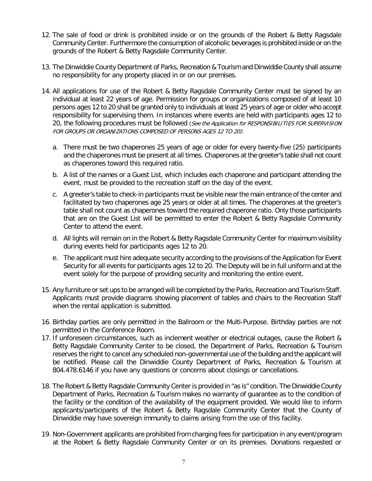- 12. The sale of food or drink is prohibited inside or on the grounds of the Robert & Betty Ragsdale Community Center. Furthermore the consumption of alcoholic beverages is prohibited inside or on the grounds of the Robert & Betty Ragsdale Community Center.
- 13. The Dinwiddie County Department of Parks, Recreation & Tourism and Dinwiddie County shall assume no responsibility for any property placed in or on our premises.
- 14. All applications for use of the Robert & Betty Ragsdale Community Center must be signed by an individual at least 22 years of age. Permission for groups or organizations composed of at least 10 persons ages 12 to 20 shall be granted only to individuals at least 25 years of age or older who accept responsibility for supervising them. In instances where events are held with participants ages 12 to 20, the following procedures must be followed (See the Application for RESPONSIBILITIES FOR SUPERVISION FOR GROUPS OR ORGANIZATIONS COMPOSED OF PERSONS AGES 12 TO 20):
	- a. There must be two chaperones 25 years of age or older for every twenty-five (25) participants and the chaperones must be present at all times. Chaperones at the greeter's table shall not count as chaperones toward this required ratio.
	- b. A list of the names or a Guest List, which includes each chaperone and participant attending the event, must be provided to the recreation staff on the day of the event.
	- c. A greeter's table to check-in participants must be visible near the main entrance of the center and facilitated by two chaperones age 25 years or older at all times. The chaperones at the greeter's table shall not count as chaperones toward the required chaperone ratio. Only those participants that are on the Guest List will be permitted to enter the Robert & Betty Ragsdale Community Center to attend the event.
	- d. All lights will remain on in the Robert & Betty Ragsdale Community Center for maximum visibility during events held for participants ages 12 to 20.
	- e. The applicant must hire adequate security according to the provisions of the Application for Event Security for all events for participants ages 12 to 20. The Deputy will be in full uniform and at the event solely for the purpose of providing security and monitoring the entire event.
- 15. Any furniture or set ups to be arranged will be completed by the Parks, Recreation and Tourism Staff. Applicants must provide diagrams showing placement of tables and chairs to the Recreation Staff when the rental application is submitted.
- 16. Birthday parties are only permitted in the Ballroom or the Multi-Purpose. Birthday parties are not permitted in the Conference Room.
- 17. If unforeseen circumstances, such as inclement weather or electrical outages, cause the Robert & Betty Ragsdale Community Center to be closed, the Department of Parks, Recreation & Tourism reserves the right to cancel any scheduled non-governmental use of the building and the applicant will be notified. Please call the Dinwiddie County Department of Parks, Recreation & Tourism at 804.478.6146 if you have any questions or concerns about closings or cancellations.
- 18. The Robert & Betty Ragsdale Community Center is provided in "as is" condition. The Dinwiddie County Department of Parks, Recreation & Tourism makes no warranty of guarantee as to the condition of the facility or the condition of the availability of the equipment provided. We would like to inform applicants/participants of the Robert & Betty Ragsdale Community Center that the County of Dinwiddie may have sovereign immunity to claims arising from the use of this facility.
- 19. Non-Government applicants are prohibited from charging fees for participation in any event/program at the Robert & Betty Ragsdale Community Center or on its premises. Donations requested or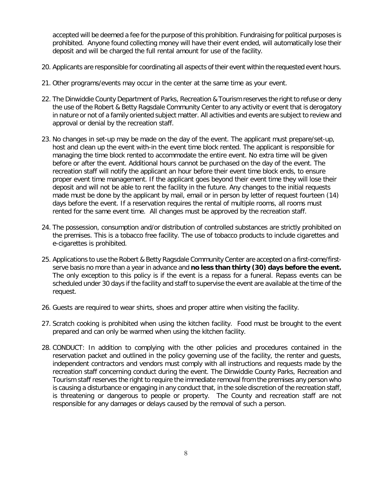accepted will be deemed a fee for the purpose of this prohibition. Fundraising for political purposes is prohibited. Anyone found collecting money will have their event ended, will automatically lose their deposit and will be charged the full rental amount for use of the facility.

- 20. Applicants are responsible for coordinating all aspects of their event within the requested event hours.
- 21. Other programs/events may occur in the center at the same time as your event.
- 22. The Dinwiddie County Department of Parks, Recreation & Tourism reserves the right to refuse or deny the use of the Robert & Betty Ragsdale Community Center to any activity or event that is derogatory in nature or not of a family oriented subject matter. All activities and events are subject to review and approval or denial by the recreation staff.
- 23. No changes in set-up may be made on the day of the event. The applicant must prepare/set-up, host and clean up the event with-in the event time block rented. The applicant is responsible for managing the time block rented to accommodate the entire event. No extra time will be given before or after the event. Additional hours cannot be purchased on the day of the event. The recreation staff will notify the applicant an hour before their event time block ends, to ensure proper event time management. If the applicant goes beyond their event time they will lose their deposit and will not be able to rent the facility in the future. Any changes to the initial requests made must be done by the applicant by mail, email or in person by letter of request fourteen (14) days before the event. If a reservation requires the rental of multiple rooms, all rooms must rented for the same event time. All changes must be approved by the recreation staff.
- 24. The possession, consumption and/or distribution of controlled substances are strictly prohibited on the premises. This is a tobacco free facility. The use of tobacco products to include cigarettes and e-cigarettes is prohibited.
- 25. Applications to use the Robert & Betty Ragsdale Community Center are accepted on a first-come/firstserve basis no more than a year in advance and **no less than thirty (30) days before the event.** The only exception to this policy is if the event is a repass for a funeral. Repass events can be scheduled under 30 days if the facility and staff to supervise the event are available at the time of the request.
- 26. Guests are required to wear shirts, shoes and proper attire when visiting the facility.
- 27. Scratch cooking is prohibited when using the kitchen facility. Food must be brought to the event prepared and can only be warmed when using the kitchen facility.
- 28. CONDUCT: In addition to complying with the other policies and procedures contained in the reservation packet and outlined in the policy governing use of the facility, the renter and guests, independent contractors and vendors must comply with all instructions and requests made by the recreation staff concerning conduct during the event. The Dinwiddie County Parks, Recreation and Tourism staff reserves the right to require the immediate removal from the premises any person who is causing a disturbance or engaging in any conduct that, in the sole discretion of the recreation staff, is threatening or dangerous to people or property. The County and recreation staff are not responsible for any damages or delays caused by the removal of such a person.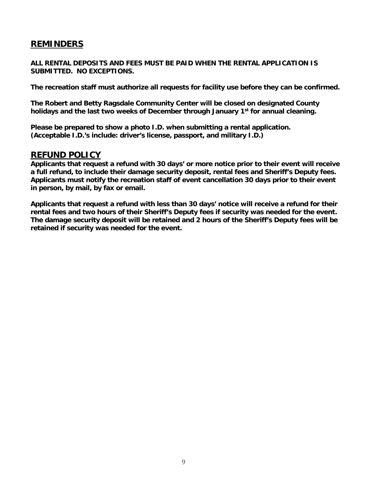# **REMINDERS**

**ALL RENTAL DEPOSITS AND FEES MUST BE PAID WHEN THE RENTAL APPLICATION IS SUBMITTED. NO EXCEPTIONS.**

**The recreation staff must authorize all requests for facility use before they can be confirmed.**

**The Robert and Betty Ragsdale Community Center will be closed on designated County holidays and the last two weeks of December through January 1st for annual cleaning.**

**Please be prepared to show a photo I.D. when submitting a rental application. (Acceptable I.D.'s include: driver's license, passport, and military I.D.)** 

# **REFUND POLICY**

**Applicants that request a refund with 30 days' or more notice prior to their event will receive a full refund, to include their damage security deposit, rental fees and Sheriff's Deputy fees. Applicants must notify the recreation staff of event cancellation 30 days prior to their event in person, by mail, by fax or email.**

**Applicants that request a refund with less than 30 days' notice will receive a refund for their rental fees and two hours of their Sheriff's Deputy fees if security was needed for the event. The damage security deposit will be retained and 2 hours of the Sheriff's Deputy fees will be retained if security was needed for the event.**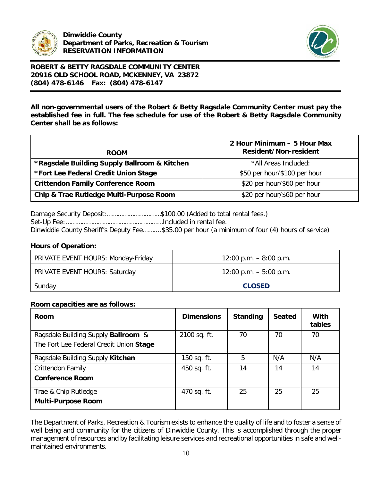



**All non-governmental users of the Robert & Betty Ragsdale Community Center must pay the established fee in full. The fee schedule for use of the Robert & Betty Ragsdale Community Center shall be as follows:**

| <b>ROOM</b>                                  | 2 Hour Minimum – 5 Hour Max<br><b>Resident/Non-resident</b> |
|----------------------------------------------|-------------------------------------------------------------|
| *Ragsdale Building Supply Ballroom & Kitchen | *All Areas Included:                                        |
| *Fort Lee Federal Credit Union Stage         | \$50 per hour/\$100 per hour                                |
| <b>Crittendon Family Conference Room</b>     | \$20 per hour/\$60 per hour                                 |
| Chip & Trae Rutledge Multi-Purpose Room      | \$20 per hour/\$60 per hour                                 |

Damage Security Deposit:…………………………\$100.00 (Added to total rental fees.) Set-Up Fee:………………………………………………Included in rental fee. Dinwiddie County Sheriff's Deputy Fee……....\$35.00 per hour (a minimum of four (4) hours of service)

## **Hours of Operation:**

| PRIVATE EVENT HOURS: Monday-Friday | $12:00$ p.m. $-8:00$ p.m. |
|------------------------------------|---------------------------|
| PRIVATE EVENT HOURS: Saturday      | $12:00$ p.m. $-5:00$ p.m. |
| Sunday                             | <b>CLOSED</b>             |

## **Room capacities are as follows:**

| Room                                                                           | <b>Dimensions</b> | <b>Standing</b> | <b>Seated</b> | With<br>tables |
|--------------------------------------------------------------------------------|-------------------|-----------------|---------------|----------------|
| Ragsdale Building Supply Ballroom &<br>The Fort Lee Federal Credit Union Stage | 2100 sq. ft.      | 70              | 70            | 70             |
| Ragsdale Building Supply Kitchen                                               | 150 sq. ft.       | 5               | N/A           | N/A            |
| <b>Crittendon Family</b><br><b>Conference Room</b>                             | 450 sq. ft.       | 14              | 14            | 14             |
| Trae & Chip Rutledge<br><b>Multi-Purpose Room</b>                              | 470 sq. ft.       | 25              | 25            | 25             |

The Department of Parks, Recreation & Tourism exists to enhance the quality of life and to foster a sense of well being and community for the citizens of Dinwiddie County. This is accomplished through the proper management of resources and by facilitating leisure services and recreational opportunities in safe and wellmaintained environments.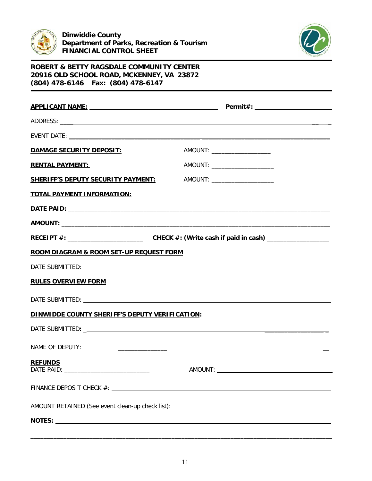



| DAMAGE SECURITY DEPOSIT:                              | AMOUNT: _______________________                                                   |
|-------------------------------------------------------|-----------------------------------------------------------------------------------|
| <b>RENTAL PAYMENT:</b>                                | AMOUNT: _________________________                                                 |
| <b>SHERIFF'S DEPUTY SECURITY PAYMENT:</b>             | AMOUNT: _______________________                                                   |
| <b>TOTAL PAYMENT INFORMATION:</b>                     |                                                                                   |
|                                                       |                                                                                   |
|                                                       |                                                                                   |
|                                                       |                                                                                   |
| ROOM DIAGRAM & ROOM SET-UP REQUEST FORM               |                                                                                   |
|                                                       |                                                                                   |
| <b>RULES OVERVIEW FORM</b>                            |                                                                                   |
|                                                       |                                                                                   |
| <b>DINWIDDE COUNTY SHERIFF'S DEPUTY VERIFICATION:</b> |                                                                                   |
|                                                       |                                                                                   |
|                                                       |                                                                                   |
| <b>REFUNDS</b><br>DATE PAID:                          | AMOUNT:                                                                           |
|                                                       |                                                                                   |
|                                                       | AMOUNT RETAINED (See event clean-up check list): ________________________________ |
|                                                       |                                                                                   |

\_\_\_\_\_\_\_\_\_\_\_\_\_\_\_\_\_\_\_\_\_\_\_\_\_\_\_\_\_\_\_\_\_\_\_\_\_\_\_\_\_\_\_\_\_\_\_\_\_\_\_\_\_\_\_\_\_\_\_\_\_\_\_\_\_\_\_\_\_\_\_\_\_\_\_\_\_\_\_\_\_\_\_\_\_\_\_\_\_\_\_\_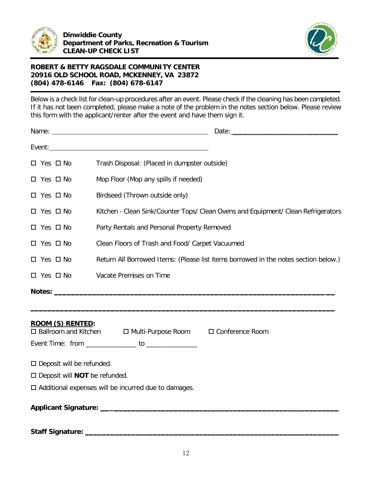



Below is a check list for clean-up procedures after an event. Please check if the cleaning has been completed. If it has not been completed, please make a note of the problem in the notes section below. Please review this form with the applicant/renter after the event and have them sign it.

|                                                                         | $\square$ Yes $\square$ No | Trash Disposal: (Placed in dumpster outside)                                        |  |
|-------------------------------------------------------------------------|----------------------------|-------------------------------------------------------------------------------------|--|
|                                                                         | $\Box$ Yes $\Box$ No       | Mop Floor (Mop any spills if needed)                                                |  |
|                                                                         | $\Box$ Yes $\Box$ No       | Birdseed (Thrown outside only)                                                      |  |
|                                                                         | $\Box$ Yes $\Box$ No       | Kitchen - Clean Sink/Counter Tops/ Clean Ovens and Equipment/ Clean Refrigerators   |  |
|                                                                         | $\Box$ Yes $\Box$ No       | Party Rentals and Personal Property Removed                                         |  |
| Clean Floors of Trash and Food/ Carpet Vacuumed<br>$\Box$ Yes $\Box$ No |                            |                                                                                     |  |
|                                                                         | $\Box$ Yes $\Box$ No       | Return All Borrowed Items: (Please list items borrowed in the notes section below.) |  |
|                                                                         | $\square$ Yes $\square$ No | Vacate Premises on Time                                                             |  |
|                                                                         |                            |                                                                                     |  |
|                                                                         |                            |                                                                                     |  |
|                                                                         | ROOM (S) RENTED:           | □ Ballroom and Kitchen □ Multi-Purpose Room □ Conference Room                       |  |
|                                                                         |                            | Event Time: from _______________ to ____________                                    |  |

| $\square$ Deposit will be refunded. |
|-------------------------------------|
|-------------------------------------|

□ Deposit will **NOT** be refunded.

 $\square$  Additional expenses will be incurred due to damages.

**Applicant Signature: \_\_ \_\_\_\_\_\_\_\_\_\_\_\_\_\_\_\_\_\_\_\_\_\_\_\_\_\_\_\_\_\_\_\_\_\_\_\_\_\_\_\_\_\_\_\_\_\_\_\_\_\_\_\_\_**

**Staff Signature: \_\_\_\_\_\_\_\_\_\_\_\_\_\_\_\_\_\_\_\_\_\_\_\_\_\_\_\_\_\_\_\_\_\_\_\_\_\_\_\_\_\_\_\_\_\_\_\_\_\_\_\_\_\_\_\_\_\_\_\_**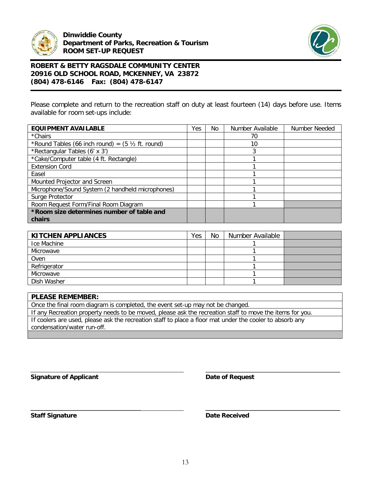



Please complete and return to the recreation staff on duty at least fourteen (14) days before use. Items available for room set-ups include:

| <b>EQUIPMENT AVAILABLE</b>                                   | Yes | No | Number Available | Number Needed |
|--------------------------------------------------------------|-----|----|------------------|---------------|
| *Chairs                                                      |     |    | 70               |               |
| *Round Tables (66 inch round) = $(5 \frac{1}{2})$ ft. round) |     |    | 10               |               |
| *Rectangular Tables (6' x 3')                                |     |    | 3                |               |
| *Cake/Computer table (4 ft. Rectangle)                       |     |    |                  |               |
| <b>Extension Cord</b>                                        |     |    |                  |               |
| Easel                                                        |     |    |                  |               |
| Mounted Projector and Screen                                 |     |    |                  |               |
| Microphone/Sound System (2 handheld microphones)             |     |    |                  |               |
| Surge Protector                                              |     |    |                  |               |
| Room Request Form/Final Room Diagram                         |     |    |                  |               |
| *Room size determines number of table and                    |     |    |                  |               |
| chairs                                                       |     |    |                  |               |

| <b>KITCHEN APPLIANCES</b> | Yes | No | Number Available |  |
|---------------------------|-----|----|------------------|--|
| Ice Machine               |     |    |                  |  |
| Microwave                 |     |    |                  |  |
| Oven                      |     |    |                  |  |
| Refrigerator              |     |    |                  |  |
| Microwave                 |     |    |                  |  |
| Dish Washer               |     |    |                  |  |

# **PLEASE REMEMBER:** Once the final room diagram is completed, the event set-up may not be changed. If any Recreation property needs to be moved, please ask the recreation staff to move the items for you. If coolers are used, please ask the recreation staff to place a floor mat under the cooler to absorb any condensation/water run-off.

**Signature of Applicant Date of Request** 

**\_\_\_\_\_\_\_\_\_\_\_\_\_\_\_\_\_\_\_\_\_\_\_\_\_\_\_\_\_\_\_\_\_\_\_\_\_\_\_\_\_\_\_\_**

**\_\_\_\_\_\_\_\_\_\_\_\_\_\_\_\_\_\_\_\_\_\_\_\_\_\_\_\_\_\_\_\_\_\_\_\_ \_\_\_\_\_\_\_\_\_\_\_\_\_\_\_\_\_\_\_\_\_\_\_\_\_\_\_\_\_\_\_\_\_\_\_\_\_\_\_\_\_\_\_\_ Staff Signature Date Received**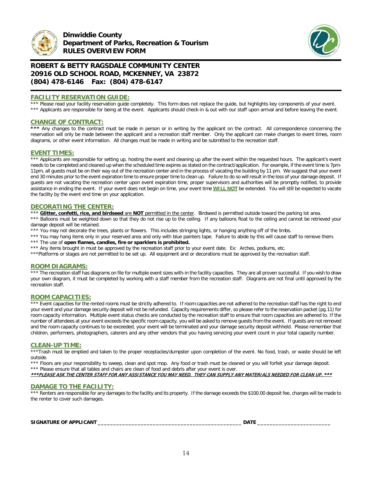



## **FACILITY RESERVATION GUIDE:**

\*\*\* Please read your facility reservation guide completely. This form does not replace the guide, but highlights key components of your event. \*\*\* Applicants are responsible for being at the event. Applicants should check-in & out with our staff upon arrival and before leaving the event.

## **CHANGE OF CONTRACT:**

\*\*\* Any changes to the contract must be made in person or in writing by the applicant on the contract. All correspondence concerning the reservation will only be made between the applicant and a recreation staff member. Only the applicant can make changes to event times, room diagrams, or other event information. All changes must be made in writing and be submitted to the recreation staff.

## **EVENT TIMES:**

\*\*\* Applicants are responsible for setting up, hosting the event and cleaning up after the event within the requested hours. The applicant's event needs to be completed and cleaned up when the scheduled time expires as stated on the contract/application. For example, if the event time is 7pm-11pm, all guests must be on their way out of the recreation center and in the process of vacating the building by 11 pm. We suggest that your event end 30 minutes prior to the event expiration time to ensure proper time to clean up. Failure to do so will result in the loss of your damage deposit. If guests are not vacating the recreation center upon event expiration time, proper supervisors and authorities will be promptly notified, to provide assistance in ending the event. If your event does not begin on time, your event time **WILL NOT** be extended. You will still be expected to vacate the facility by the event end time on your application.

#### **DECORATING THE CENTER:**

\*\*\* **Glitter, confetti, rice, and birdseed** are NOT permitted in the center. Birdseed is permitted outside toward the parking lot area.

\*\*\* Balloons must be weighted down so that they do not rise up to the ceiling. If any balloons float to the ceiling and cannot be retrieved your damage deposit will be retained.

\*\*\* You may not decorate the trees, plants or flowers. This includes stringing lights, or hanging anything off of the limbs.

\*\*\* You may hang items only in your reserved area and only with blue painters tape. Failure to abide by this will cause staff to remove them.

\*\*\* The use of **open flames, candles, fire or sparklers is prohibited.** 

\*\*\* Any items brought in must be approved by the recreation staff prior to your event date. Ex: Arches, podiums, etc.

\*\*\*Platforms or stages are not permitted to be set up. All equipment and or decorations must be approved by the recreation staff.

#### **ROOM DIAGRAMS:**

\*\*\* The recreation staff has diagrams on file for multiple event sizes with-in the facility capacities. They are all proven successful. If you wish to draw your own diagram, it must be completed by working with a staff member from the recreation staff. Diagrams are not final until approved by the recreation staff.

#### **ROOM CAPACITIES:**

\*\*\* Event capacities for the rented rooms must be strictly adhered to. If room capacities are not adhered to the recreation staff has the right to end your event and your damage security deposit will not be refunded. Capacity requirements differ, so please refer to the reservation packet (pg.11) for room capacity information. Multiple event status checks are conducted by the recreation staff to ensure that room capacities are adhered to. If the number of attendees at your event exceeds the specific room capacity, you will be asked to remove guests from the event. If guests are not removed and the room capacity continues to be exceeded, your event will be terminated and your damage security deposit withheld. Please remember that children, performers, photographers, caterers and any other vendors that you having servicing your event count in your total capacity number.

#### **CLEAN-UP TIME:**

\*\*\*Trash must be emptied and taken to the proper receptacles/dumpster upon completion of the event. No food, trash, or waste should be left outside.

\*\*\* Floors are your responsibility to sweep, clean and spot mop. Any food or trash must be cleaned or you will forfeit your damage deposit. \*\*\* Please ensure that all tables and chairs are clean of food and debris after your event is over.

## \*\*\*PLEASE ASK THE CENTER STAFF FOR ANY ASSISTANCE YOU MAY NEED. THEY CAN SUPPLY ANY MATERIALS NEEDED FOR CLEAN UP. \*\*\*

#### **DAMAGE TO THE FACILITY:**

\*\*\* Renters are responsible for any damages to the facility and its property. If the damage exceeds the \$100.00 deposit fee, charges will be made to the renter to cover such damages.

**SIGNATURE OF APPLICANT \_\_\_\_\_\_\_\_\_\_\_\_\_\_\_\_\_\_\_\_\_\_\_\_\_\_\_\_\_\_\_\_\_\_\_\_\_\_\_\_\_\_\_\_\_\_\_ DATE \_\_\_\_\_\_\_\_\_\_\_\_\_\_\_\_\_\_\_\_\_\_\_\_**